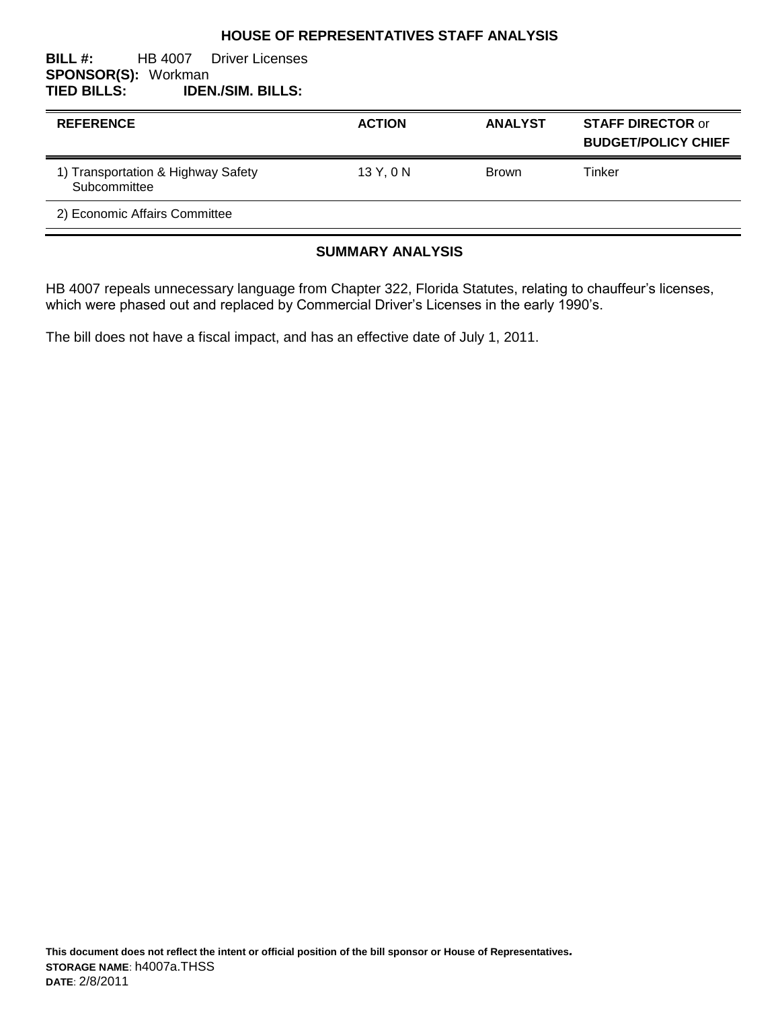#### **HOUSE OF REPRESENTATIVES STAFF ANALYSIS**

#### **BILL #:** HB 4007 Driver Licenses **SPONSOR(S): Workman<br>TIED BILLS: IDEN TIED BILLS: IDEN./SIM. BILLS:**

| <b>REFERENCE</b>                                   | <b>ACTION</b> | <b>ANALYST</b> | <b>STAFF DIRECTOR or</b><br><b>BUDGET/POLICY CHIEF</b> |
|----------------------------------------------------|---------------|----------------|--------------------------------------------------------|
| 1) Transportation & Highway Safety<br>Subcommittee | 13Y, 0N       | <b>Brown</b>   | Tinker                                                 |
| 2) Economic Affairs Committee                      |               |                |                                                        |

## **SUMMARY ANALYSIS**

HB 4007 repeals unnecessary language from Chapter 322, Florida Statutes, relating to chauffeur's licenses, which were phased out and replaced by Commercial Driver's Licenses in the early 1990's.

The bill does not have a fiscal impact, and has an effective date of July 1, 2011.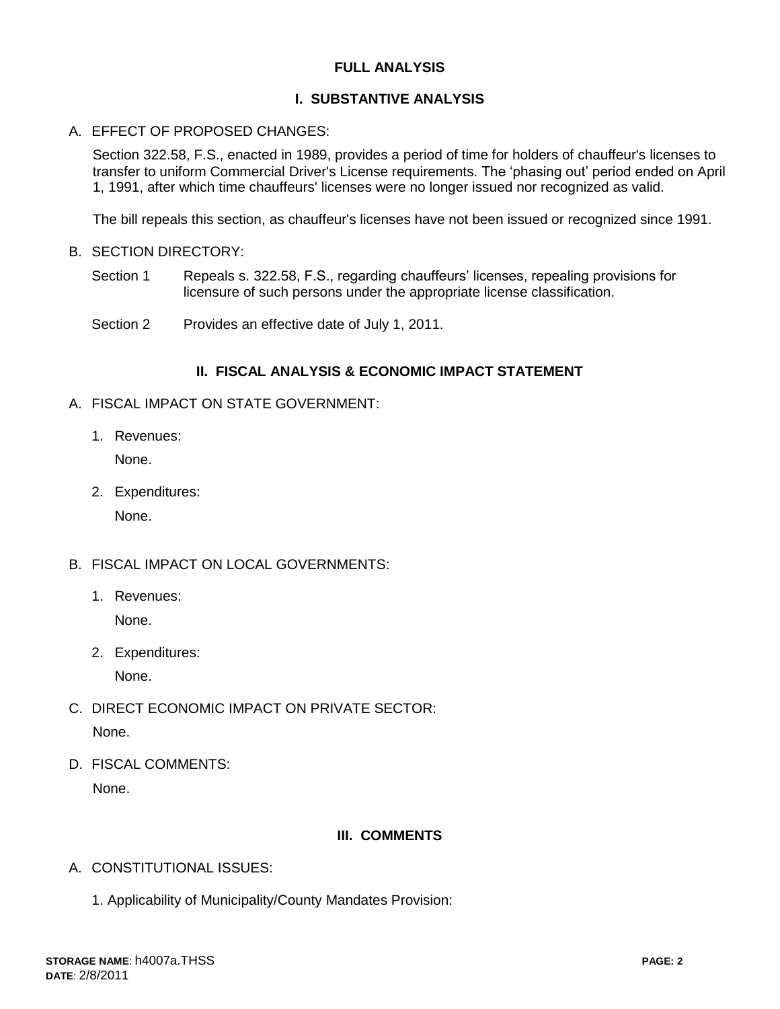## **FULL ANALYSIS**

## **I. SUBSTANTIVE ANALYSIS**

#### A. EFFECT OF PROPOSED CHANGES:

Section 322.58, F.S., enacted in 1989, provides a period of time for holders of chauffeur's licenses to transfer to uniform Commercial Driver's License requirements. The 'phasing out' period ended on April 1, 1991, after which time chauffeurs' licenses were no longer issued nor recognized as valid.

The bill repeals this section, as chauffeur's licenses have not been issued or recognized since 1991.

- B. SECTION DIRECTORY:
	- Section 1 Repeals s. 322.58, F.S., regarding chauffeurs' licenses, repealing provisions for licensure of such persons under the appropriate license classification.
	- Section 2 Provides an effective date of July 1, 2011.

#### **II. FISCAL ANALYSIS & ECONOMIC IMPACT STATEMENT**

- A. FISCAL IMPACT ON STATE GOVERNMENT:
	- 1. Revenues:

None.

2. Expenditures:

None.

- B. FISCAL IMPACT ON LOCAL GOVERNMENTS:
	- 1. Revenues: None.
	- 2. Expenditures:

None.

- C. DIRECT ECONOMIC IMPACT ON PRIVATE SECTOR: None.
- D. FISCAL COMMENTS: None.

# **III. COMMENTS**

- A. CONSTITUTIONAL ISSUES:
	- 1. Applicability of Municipality/County Mandates Provision: